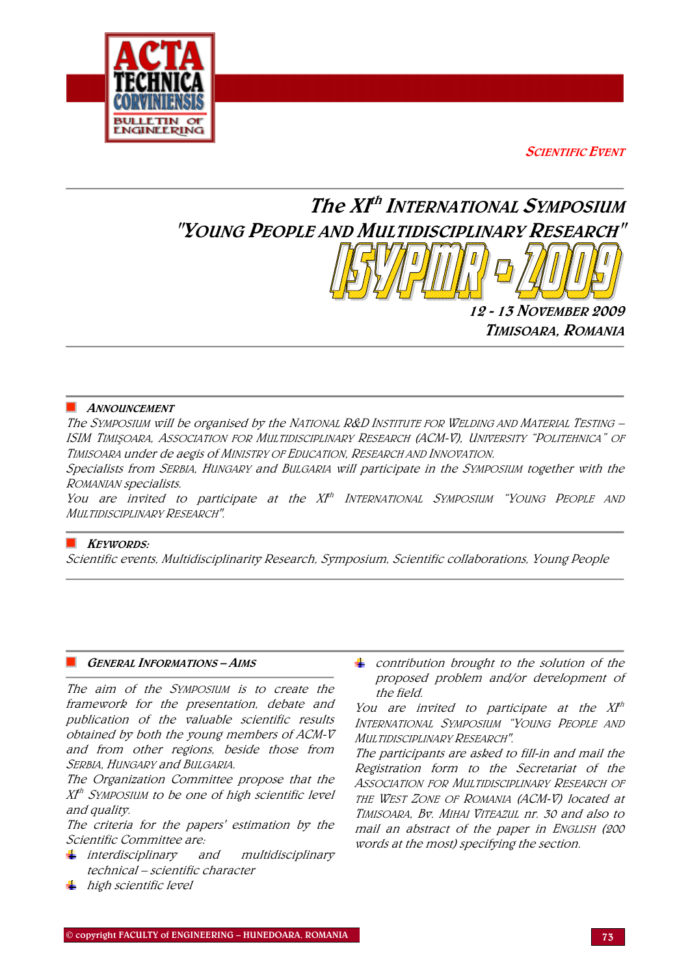

**SCIENTIFIC EVENT** 

# The XI<sup>th</sup> INTERNATIONAL SYMPOSIUM "YOUNG PEOPLE AND MULTIDISCIPLINARY RESEARCH" 12 - 13 NOVEMBER 2009 TIMISOARA, ROMANIA

# **ANNOUNCEMENT**

The SYMPOSIUM will be organised by the NATIONAL R&D INSTITUTE FOR WELDING AND MATERIAL TESTING – ISIM TIMIŞOARA, ASSOCIATION FOR MULTIDISCIPLINARY RESEARCH (ACM-V), UNIVERSITY "POLITEHNICA" OF TIMISOARA under de aegis of MINISTRY OF EDUCATION, RESEARCH AND INNOVATION.

Specialists from SERBIA, HUNGARY and BULGARIA will participate in the SYMPOSIUM together with the ROMANIAN specialists.

You are invited to participate at the XI<sup>th</sup> INTERNATIONAL SYMPOSIUM "YOUNG PEOPLE AND MULTIDISCIPLINARY RESEARCH".

# $\blacksquare$  KEYWORDS:

Scientific events, Multidisciplinarity Research, Symposium, Scientific collaborations, Young People

## GENERAL INFORMATIONS – AIMS

The aim of the SYMPOSIUM is to create the framework for the presentation, debate and publication of the valuable scientific results obtained by both the young members of ACM-V and from other regions, beside those from SERBIA, HUNGARY and BULGARIA.

The Organization Committee propose that the  $XI<sup>th</sup>$  SYMPOSIUM to be one of high scientific level and quality.

The criteria for the papers' estimation by the Scientific Committee are:

- $\frac{1}{\sqrt{2}}$  interdisciplinary and multidisciplinary technical – scientific character
- $h$ igh scientific level

contribution brought to the solution of the proposed problem and/or development of the field.

You are invited to participate at the  $X^{th}$ INTERNATIONAL SYMPOSIUM "YOUNG PEOPLE AND MULTIDISCIPLINARY RESEARCH".

The participants are asked to fill-in and mail the Registration form to the Secretariat of the ASSOCIATION FOR MULTIDISCIPLINARY RESEARCH OF THE WEST ZONE OF ROMANIA (ACM-V) located at TIMISOARA, Bv. MIHAI VITEAZUL nr. 30 and also to mail an abstract of the paper in ENGLISH (200 words at the most) specifying the section.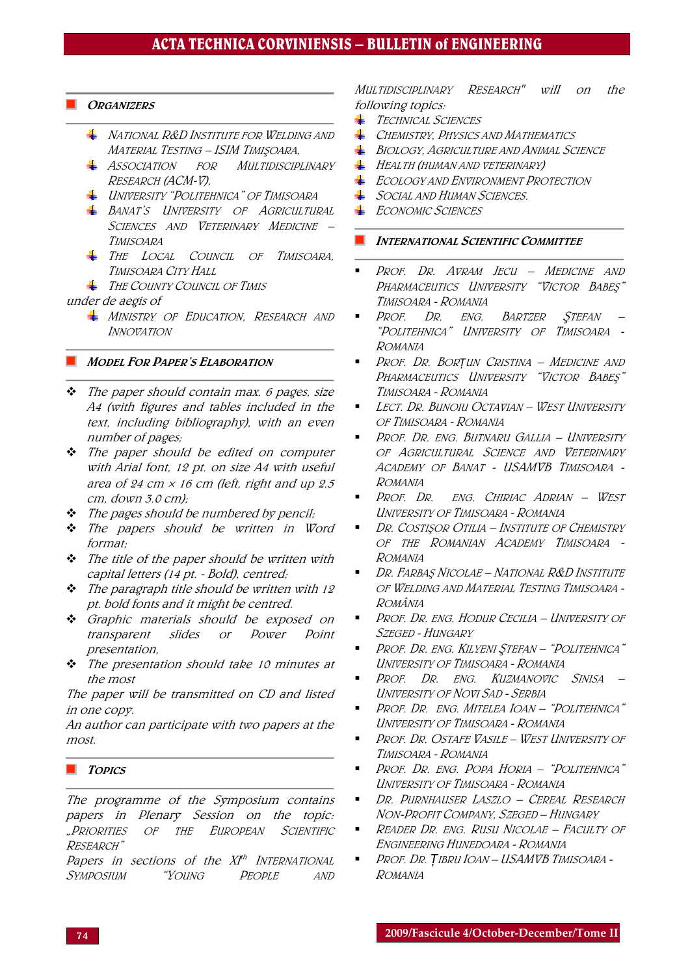#### **ORGANIZERS**

- **WELDING AND AND AND INSTITUTE FOR WELDING AND** MATERIAL TESTING – ISIM TIMIŞOARA,
- ASSOCIATION FOR MULTIDISCIPLINARY RESEARCH (ACM-V),
- UNIVERSITY "POLITEHNICA" OF TIMISOARA
- $\quad$  BANAT'S UNIVERSITY OF AGRICULTURAL SCIENCES AND VETERINARY MEDICINE – TIMISOARA
- $\overline{\phantom{a} \overline{\phantom{a}} }$  The Local Council of Timisoara, TIMISOARA CITY HALL
- THE COUNTY COUNCIL OF TIMIS
- under de aegis of
	- **MINISTRY OF EDUCATION, RESEARCH AND INNOVATION**

## **MODEL FOR PAPER'S ELABORATION**

- The paper should contain max. 6 pages, size A4 (with figures and tables included in the text, including bibliography), with an even number of pages;
- The paper should be edited on computer with Arial font, 12 pt. on size A4 with useful area of 24 cm × 16 cm (left, right and up 2.5 cm, down 3.0 cm);
- \* The pages should be numbered by pencil;
- The papers should be written in Word format;
- \* The title of the paper should be written with capital letters (14 pt. - Bold), centred;
- $\triangle$  The paragraph title should be written with 12 pt. bold fonts and it might be centred.
- Graphic materials should be exposed on transparent slides or Power Point presentation,
- The presentation should take 10 minutes at the most

The paper will be transmitted on CD and listed in one copy.

An author can participate with two papers at the most.

### $\blacksquare$  TOPICS

The programme of the Symposium contains papers in Plenary Session on the topic: "PRIORITIES OF THE EUROPEAN SCIENTIFIC RESEARCH"

Papers in sections of the XI<sup>th</sup> INTERNATIONAL SYMPOSIUM "YOUNG PEOPLE AND MULTIDISCIPLINARY RESEARCH" will on the following topics:

- TECHNICAL SCIENCES
- **CHEMISTRY, PHYSICS AND MATHEMATICS**
- **H** BIOLOGY, AGRICULTURE AND ANIMAL SCIENCE
- **HEALTH (HUMAN AND VETERINARY)**
- ECOLOGY AND ENVIRONMENT PROTECTION
- SOCIAL AND HUMAN SCIENCES.
- ECONOMIC SCIENCES

#### INTERNATIONAL SCIENTIFIC COMMITTEE

- <sup>P</sup>ROF. <sup>D</sup>R. <sup>A</sup>VRAM JECU <sup>M</sup>EDICINE AND PHARMACEUTICS UNIVERSITY "VICTOR BABEŞ" TIMISOARA - ROMANIA
- PROF. DR. ENG. BARTZER ŞTEFAN "POLITEHNICA" UNIVERSITY OF TIMISOARA - ROMANIA
- **PROF. DR. BORȚUN CRISTINA MEDICINE AND** PHARMACEUTICS UNIVERSITY "VICTOR BABEŞ" TIMISOARA - ROMANIA
- LECT. DR. BUNOIU OCTAVIAN WEST UNIVERSITY OF TIMISOARA - ROMANIA
- <sup>P</sup>ROF. <sup>D</sup>R. ENG. <sup>B</sup>UTNARU GALLIA <sup>U</sup>NIVERSITY OF AGRICULTURAL SCIENCE AND VETERINARY ACADEMY OF BANAT - USAMVB TIMISOARA - ROMANIA
- <sup>P</sup>ROF. <sup>D</sup>R. ENG. CHIRIAC ADRIAN <sup>W</sup>EST UNIVERSITY OF TIMISOARA - ROMANIA
- <sup>D</sup>R. COSTIŞOR OTILIA <sup>I</sup>NSTITUTE OF CHEMISTRY OF THE ROMANIAN ACADEMY TIMISOARA - ROMANIA
- <sup>D</sup>R. <sup>F</sup>ARBAŞ <sup>N</sup>ICOLAE <sup>N</sup>ATIONAL R&D <sup>I</sup>NSTITUTE OF WELDING AND MATERIAL TESTING TIMISOARA - ROMÂNIA
- <sup>P</sup>ROF. <sup>D</sup>R. ENG. <sup>H</sup>ODUR CECILIA <sup>U</sup>NIVERSITY OF SZEGED - HUNGARY
- PROF. DR. ENG. KILYENI ŞTEFAN "POLITEHNICA" UNIVERSITY OF TIMISOARA - ROMANIA
- PROF. DR. ENG. KUZMANOVIC SINISA UNIVERSITY OF NOVI SAD - SERBIA
- <sup>P</sup>ROF. <sup>D</sup>R. ENG. <sup>M</sup>ITELEA IOAN "POLITEHNICA" UNIVERSITY OF TIMISOARA - ROMANIA
- <sup>P</sup>ROF. <sup>D</sup>R. OSTAFE VASILE <sup>W</sup>EST UNIVERSITY OF TIMISOARA - ROMANIA
- <sup>P</sup>ROF. <sup>D</sup>R. ENG. <sup>P</sup>OPA HORIA "POLITEHNICA" UNIVERSITY OF TIMISOARA - ROMANIA
- <sup>D</sup>R. <sup>P</sup>URNHAUSER LASZLO CEREAL RESEARCH NON-PROFIT COMPANY, SZEGED – HUNGARY
- <sup>R</sup>EADER DR. ENG. <sup>R</sup>USU NICOLAE <sup>F</sup>ACULTY OF ENGINEERING HUNEDOARA - ROMANIA
- <sup>P</sup>ROF. <sup>D</sup>R. *Ţ*IBRU IOAN USAMVB TIMISOARA ROMANIA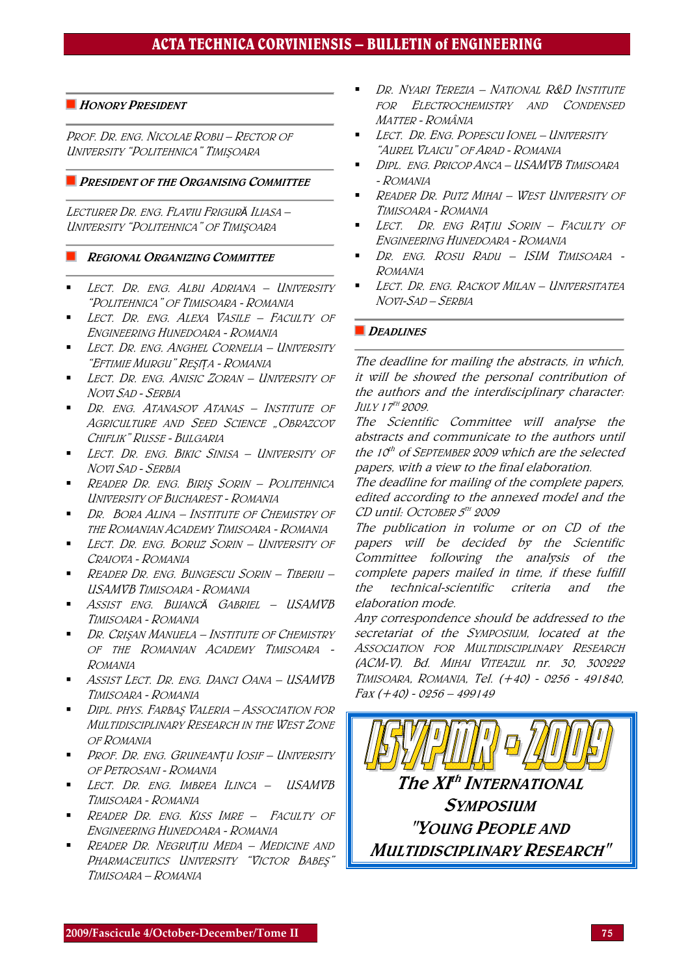## **HONORY PRESIDENT**

PROF. DR. ENG. NICOLAE ROBU - RECTOR OF UNIVERSITY "POLITEHNICA" TIMISOARA

## **PRESIDENT OF THE ORGANISING COMMITTEE**

LECTURER DR ENG FLAVIU FRIGURĂ ILIASA -UNIVERSITY "POLITEHNICA" OF TIMIŞOARA

## REGIONAL ORGANIZING COMMITTEE

- LECT. DR. ENG. ALBU ADRIANA UNIVERSITY "POLITEHNICA" OF TIMISOARA - ROMANIA
- LECT. DR. ENG. ALEXA VASILE FACULTY OF ENGINEERING HUNEDOARA - ROMANIA
- LECT. DR. ENG. ANGHEL CORNELIA UNIVERSITY "EFTIMIE MURGU" RESITA - ROMANIA
- LECT. DR. ENG. ANISIC ZORAN UNIVERSITY OF NOVI SAD - SERBIA
- · DR. ENG. ATANASOV ATANAS INSTITUTE OF AGRICULTURE AND SEED SCIENCE .. OBRAZCOV CHIFLIK" RUSSE - BULGARIA
- LECT. DR. ENG. BIKIC SINISA UNIVERSITY OF NOVI SAD - SERBIA
- READER DR. ENG. BIRIS SORIN POLITEHNICA **UNIVERSITY OF BUCHAREST - ROMANIA**
- DR. BORA ALINA INSTITUTE OF CHEMISTRY OF THE ROMANIAN ACADEMY TIMISOARA - ROMANIA
- LECT. DR. ENG. BORUZ SORIN UNIVERSITY OF CRAIOVA - ROMANIA
- Reader Dr. eng. Bungescu Sorin Tiberiu USAMVB TIMISOARA - ROMANIA
- **ASSIST ENG. BUJANCĂ GABRIEL USAMVB** TIMISOARA - ROMANIA
- Dr. Crișan Manuela Institute of Chemistry OF THE ROMANIAN ACADEMY TIMISOARA -ROMANIA
- $-$  ASSIST LECT DR ENG DANCI CANA USAMVE TIMISOARA - ROMANIA
- DIPL. PHYS. FARBAŞ VALERIA ASSOCIATION FOR MULTIDISCIPLINARY RESEARCH IN THE WEST ZONE OF ROMANIA
- · PROF. DR. ENG. GRUNEANȚU IOSIF UNIVERSITY OF PETROSANI - ROMANIA
- " LECT. DR. ENG. IMBREA ILINCA USAMVB TIMISOARA - ROMANIA
- READER DR. ENG. KISS IMRE FACULTY OF ENGINEERING HUNEDOARA - ROMANIA
- READER DR. NEGRUTIU MEDA MEDICINE AND PHARMACEUTICS UNIVERSITY "VICTOR BABES" TIMISOARA - ROMANIA
- DR. NYARI TEREZIA NATIONAL R&D INSTITUTE  $FOP$ ELECTROCHEMISTRY AND CONDENSED **MATTER - ROMÂNIA**
- LECT. DR. ENG. POPESCU IONEL UNIVERSITY "AUREL VLAICU" OF ARAD - ROMANIA
- DIPL. ENG. PRICOP ANCA USAMVB TIMISOARA  $-$  ROMANIA
- READER DR. PUTZ MIHAI WEST UNIVERSITY OF TIMISOARA - ROMANIA
- LECT. DR. ENG RATIU SORIN FACULTY OF ENGINEERING HUNEDOARA - ROMANIA
- DR. ENG. ROSU RADU ISIM TIMISOARA -**ROMANIA**
- LECT. DR. ENG. RACKOV MILAN UNIVERSITATEA NOVI-SAD - SERBIA

## DEADLINES

The deadline for mailing the abstracts, in which. it will be showed the personal contribution of the authors and the interdisciplinary character. JULY 17TH 2009.

The Scientific Committee will analyse the abstracts and communicate to the authors until the  $10<sup>th</sup>$  of SEPTEMBER 2009 which are the selected papers, with a view to the final elaboration.

The deadline for mailing of the complete papers, edited according to the annexed model and the CD until: OCTOBER 5TH 2009

The publication in volume or on CD of the papers will be decided by the Scientific Committee following the analysis of the complete papers mailed in time, if these fulfill technical-scientific criteria and  $the$  $the$ elaboration mode.

Any correspondence should be addressed to the secretariat of the SYMPOSIUM, located at the ASSOCIATION FOR MULTIDISCIPLINARY RESEARCH (ACM-V). Bd. MIHAI VITEAZUL Nr. 30, 300222 TIMISOARA, ROMANIA, Tel. (+40) - 0256 - 491840.  $Fax (+40) - 0256 - 499149$ 



The XI<sup>th</sup> INTERNATIONAL **SYMPOSIUM** "YOUNG PEOPLE AND **MULTIDISCIPLINARY RESEARCH"**